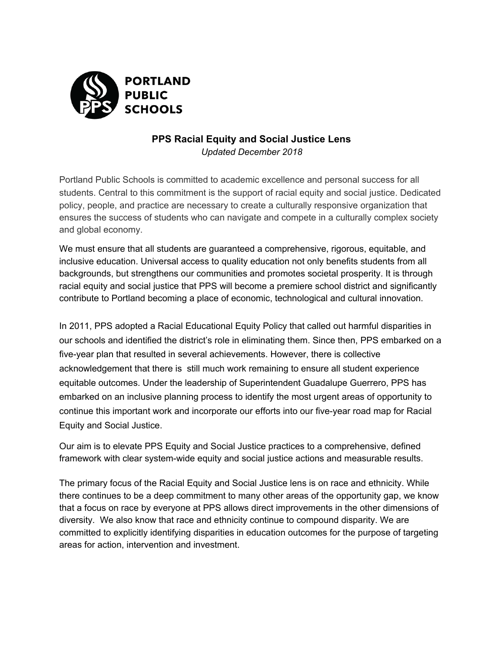

## **PPS Racial Equity and Social Justice Lens** *Updated December 2018*

Portland Public Schools is committed to academic excellence and personal success for all students. Central to this commitment is the support of racial equity and social justice. Dedicated policy, people, and practice are necessary to create a culturally responsive organization that ensures the success of students who can navigate and compete in a culturally complex society and global economy.

We must ensure that all students are guaranteed a comprehensive, rigorous, equitable, and inclusive education. Universal access to quality education not only benefits students from all backgrounds, but strengthens our communities and promotes societal prosperity. It is through racial equity and social justice that PPS will become a premiere school district and significantly contribute to Portland becoming a place of economic, technological and cultural innovation.

In 2011, PPS adopted a Racial Educational Equity Policy that called out harmful disparities in our schools and identified the district's role in eliminating them. Since then, PPS embarked on a five-year plan that resulted in several achievements. However, there is collective acknowledgement that there is still much work remaining to ensure all student experience equitable outcomes. Under the leadership of Superintendent Guadalupe Guerrero, PPS has embarked on an inclusive planning process to identify the most urgent areas of opportunity to continue this important work and incorporate our efforts into our five-year road map for Racial Equity and Social Justice.

Our aim is to elevate PPS Equity and Social Justice practices to a comprehensive, defined framework with clear system-wide equity and social justice actions and measurable results.

The primary focus of the Racial Equity and Social Justice lens is on race and ethnicity. While there continues to be a deep commitment to many other areas of the opportunity gap, we know that a focus on race by everyone at PPS allows direct improvements in the other dimensions of diversity. We also know that race and ethnicity continue to compound disparity. We are committed to explicitly identifying disparities in education outcomes for the purpose of targeting areas for action, intervention and investment.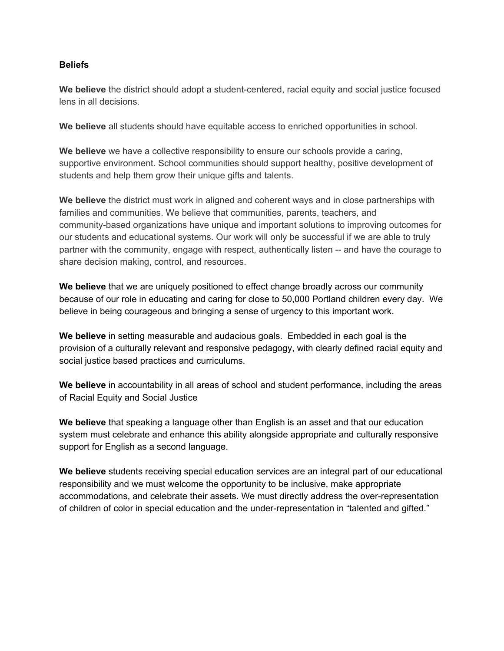## **Beliefs**

**We believe** the district should adopt a student-centered, racial equity and social justice focused lens in all decisions.

**We believe** all students should have equitable access to enriched opportunities in school.

**We believe** we have a collective responsibility to ensure our schools provide a caring, supportive environment. School communities should support healthy, positive development of students and help them grow their unique gifts and talents.

**We believe** the district must work in aligned and coherent ways and in close partnerships with families and communities. We believe that communities, parents, teachers, and community-based organizations have unique and important solutions to improving outcomes for our students and educational systems. Our work will only be successful if we are able to truly partner with the community, engage with respect, authentically listen -- and have the courage to share decision making, control, and resources.

**We believe** that we are uniquely positioned to effect change broadly across our community because of our role in educating and caring for close to 50,000 Portland children every day. We believe in being courageous and bringing a sense of urgency to this important work.

**We believe** in setting measurable and audacious goals. Embedded in each goal is the provision of a culturally relevant and responsive pedagogy, with clearly defined racial equity and social justice based practices and curriculums.

**We believe** in accountability in all areas of school and student performance, including the areas of Racial Equity and Social Justice

**We believe** that speaking a language other than English is an asset and that our education system must celebrate and enhance this ability alongside appropriate and culturally responsive support for English as a second language.

**We believe** students receiving special education services are an integral part of our educational responsibility and we must welcome the opportunity to be inclusive, make appropriate accommodations, and celebrate their assets. We must directly address the over-representation of children of color in special education and the under-representation in "talented and gifted."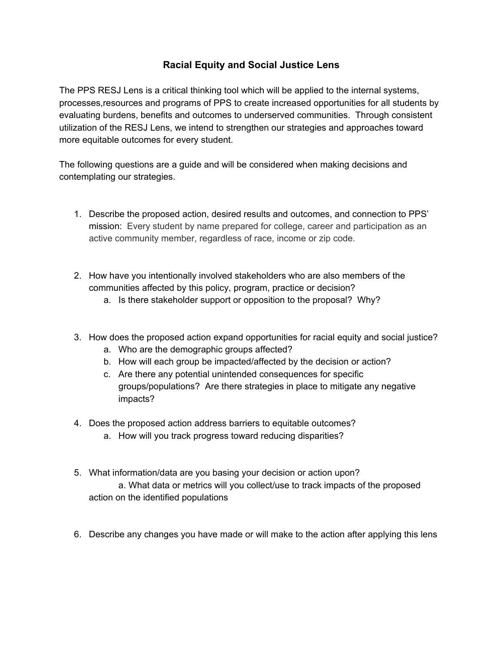## **Racial Equity and Social Justice Lens**

The PPS RESJ Lens is a critical thinking tool which will be applied to the internal systems, processes,resources and programs of PPS to create increased opportunities for all students by evaluating burdens, benefits and outcomes to underserved communities. Through consistent utilization of the RESJ Lens, we intend to strengthen our strategies and approaches toward more equitable outcomes for every student.

The following questions are a guide and will be considered when making decisions and contemplating our strategies.

- 1. Describe the proposed action, desired results and outcomes, and connection to PPS' mission: Every student by name prepared for college, career and participation as an active community member, regardless of race, income or zip code.
- 2. How have you intentionally involved stakeholders who are also members of the communities affected by this policy, program, practice or decision?
	- a. Is there stakeholder support or opposition to the proposal? Why?
- 3. How does the proposed action expand opportunities for racial equity and social justice?
	- a. Who are the demographic groups affected?
	- b. How will each group be impacted/affected by the decision or action?
	- c. Are there any potential unintended consequences for specific groups/populations? Are there strategies in place to mitigate any negative impacts?
- 4. Does the proposed action address barriers to equitable outcomes?
	- a. How will you track progress toward reducing disparities?
- 5. What information/data are you basing your decision or action upon? a. What data or metrics will you collect/use to track impacts of the proposed action on the identified populations
- 6. Describe any changes you have made or will make to the action after applying this lens